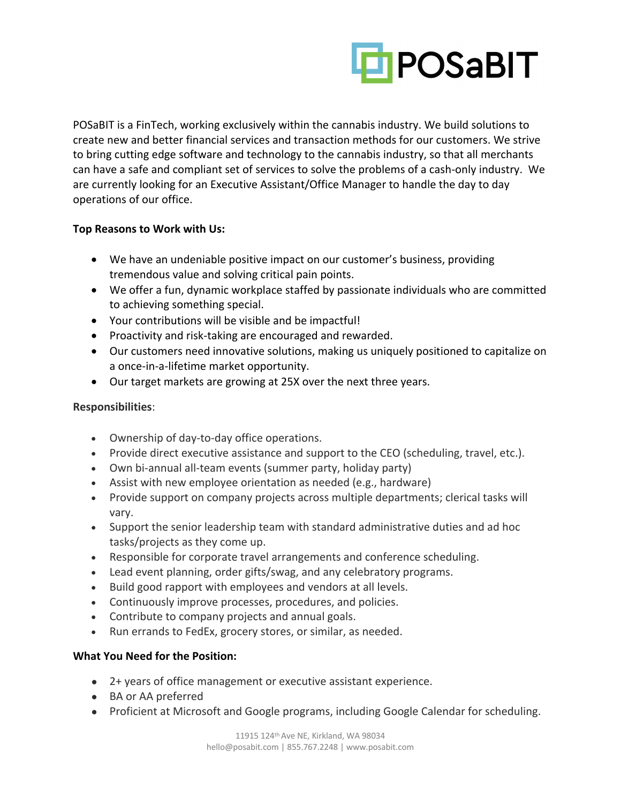

POSaBIT is a FinTech, working exclusively within the cannabis industry. We build solutions to create new and better financial services and transaction methods for our customers. We strive to bring cutting edge software and technology to the cannabis industry, so that all merchants can have a safe and compliant set of services to solve the problems of a cash-only industry. We are currently looking for an Executive Assistant/Office Manager to handle the day to day operations of our office.

## **Top Reasons to Work with Us:**

- We have an undeniable positive impact on our customer's business, providing tremendous value and solving critical pain points.
- We offer a fun, dynamic workplace staffed by passionate individuals who are committed to achieving something special.
- Your contributions will be visible and be impactful!
- Proactivity and risk-taking are encouraged and rewarded.
- Our customers need innovative solutions, making us uniquely positioned to capitalize on a once-in-a-lifetime market opportunity.
- Our target markets are growing at 25X over the next three years.

## **Responsibilities**:

- Ownership of day-to-day office operations.
- Provide direct executive assistance and support to the CEO (scheduling, travel, etc.).
- Own bi-annual all-team events (summer party, holiday party)
- Assist with new employee orientation as needed (e.g., hardware)
- Provide support on company projects across multiple departments; clerical tasks will vary.
- Support the senior leadership team with standard administrative duties and ad hoc tasks/projects as they come up.
- Responsible for corporate travel arrangements and conference scheduling.
- Lead event planning, order gifts/swag, and any celebratory programs.
- Build good rapport with employees and vendors at all levels.
- Continuously improve processes, procedures, and policies.
- Contribute to company projects and annual goals.
- Run errands to FedEx, grocery stores, or similar, as needed.

## **What You Need for the Position:**

- 2+ years of office management or executive assistant experience.
- BA or AA preferred
- Proficient at Microsoft and Google programs, including Google Calendar for scheduling.